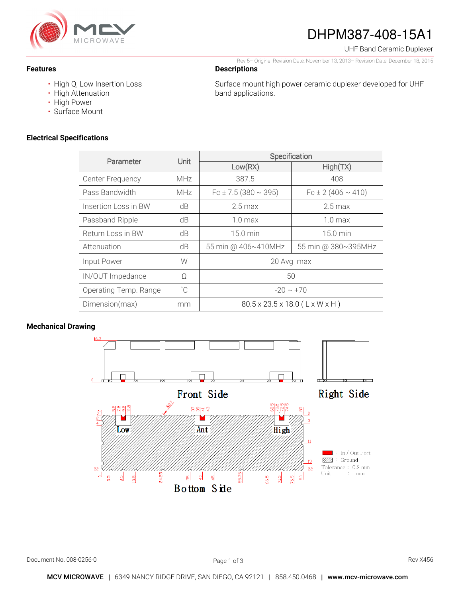

# DHPM387-408-15A1

Rev 5– Original Revision Date: November 13, 2013– Revision Date: December 18, 2015

Surface mount high power ceramic duplexer developed for UHF

UHF Band Ceramic Duplexer

**Features** 

- High Q, Low Insertion Loss
- High Attenuation
- High Power
- Surface Mount

### **Electrical Specifications**

| Parameter               | Unit         | Specification                  |                          |
|-------------------------|--------------|--------------------------------|--------------------------|
|                         |              | Low(RX)                        | High(TX)                 |
| <b>Center Frequency</b> | MHz          | 387.5                          | 408                      |
| Pass Bandwidth          | MHz          | $Fc \pm 7.5(380 \sim 395)$     | $Fc \pm 2(406 \sim 410)$ |
| Insertion Loss in BW    | dB           | $2.5$ max                      | $2.5$ max                |
| Passband Ripple         | dB           | $1.0 \text{ max}$              | $1.0 \text{ max}$        |
| Return Loss in BW       | dB           | $15.0 \text{ min}$             | 15.0 min                 |
| Attenuation             | dB           | 55 min @ 406~410MHz            | 55 min @ 380~395MHz      |
| Input Power             | W            | 20 Avg max                     |                          |
| IN/OUT Impedance        | Ω            | 50                             |                          |
| Operating Temp. Range   | $^{\circ}$ C | $-20 \sim +70$                 |                          |
| Dimension(max)          | mm           | 80.5 x 23.5 x 18.0 (L x W x H) |                          |

**Descriptions** 

band applications.

## **Mechanical Drawing**



j Page 1 of 3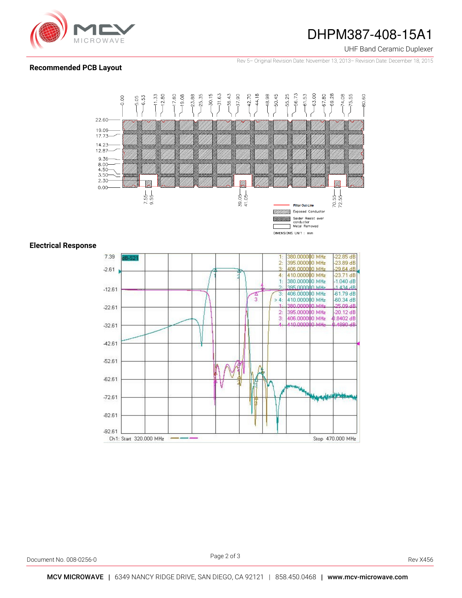

## DHPM387-408-15A1

#### UHF Band Ceramic Duplexer

Rev 5– Original Revision Date: November 13, 2013– Revision Date: December 18, 2015

### **Recommended PCB Layout**



### **Electrical Response**